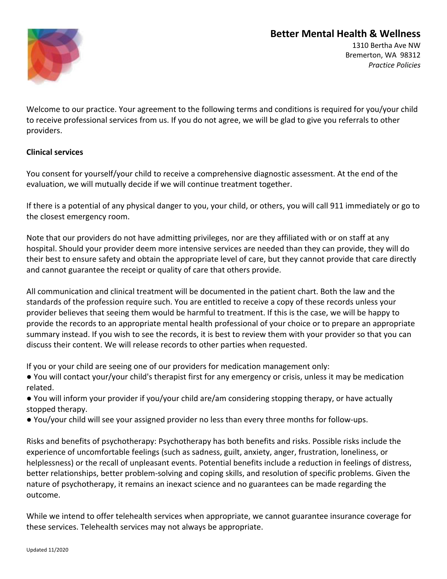

1310 Bertha Ave NW Bremerton, WA 98312 *Practice Policies*

Welcome to our practice. Your agreement to the following terms and conditions is required for you/your child to receive professional services from us. If you do not agree, we will be glad to give you referrals to other providers.

#### **Clinical services**

You consent for yourself/your child to receive a comprehensive diagnostic assessment. At the end of the evaluation, we will mutually decide if we will continue treatment together.

If there is a potential of any physical danger to you, your child, or others, you will call 911 immediately or go to the closest emergency room.

Note that our providers do not have admitting privileges, nor are they affiliated with or on staff at any hospital. Should your provider deem more intensive services are needed than they can provide, they will do their best to ensure safety and obtain the appropriate level of care, but they cannot provide that care directly and cannot guarantee the receipt or quality of care that others provide.

All communication and clinical treatment will be documented in the patient chart. Both the law and the standards of the profession require such. You are entitled to receive a copy of these records unless your provider believes that seeing them would be harmful to treatment. If this is the case, we will be happy to provide the records to an appropriate mental health professional of your choice or to prepare an appropriate summary instead. If you wish to see the records, it is best to review them with your provider so that you can discuss their content. We will release records to other parties when requested.

If you or your child are seeing one of our providers for medication management only:

- You will contact your/your child's therapist first for any emergency or crisis, unless it may be medication related.
- You will inform your provider if you/your child are/am considering stopping therapy, or have actually stopped therapy.
- You/your child will see your assigned provider no less than every three months for follow-ups.

Risks and benefits of psychotherapy: Psychotherapy has both benefits and risks. Possible risks include the experience of uncomfortable feelings (such as sadness, guilt, anxiety, anger, frustration, loneliness, or helplessness) or the recall of unpleasant events. Potential benefits include a reduction in feelings of distress, better relationships, better problem-solving and coping skills, and resolution of specific problems. Given the nature of psychotherapy, it remains an inexact science and no guarantees can be made regarding the outcome.

While we intend to offer telehealth services when appropriate, we cannot guarantee insurance coverage for these services. Telehealth services may not always be appropriate.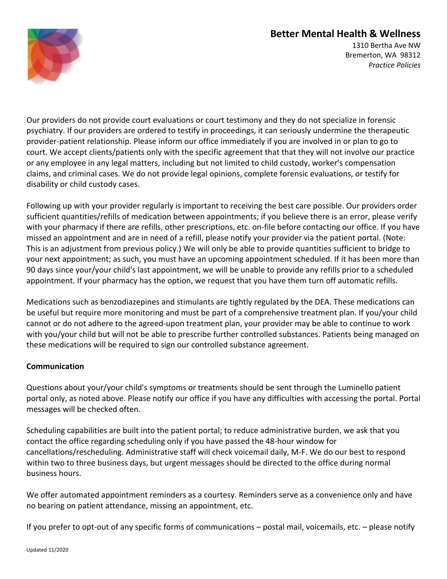

1310 Bertha Ave NW Bremerton, WA 98312 *Practice Policies*

Our providers do not provide court evaluations or court testimony and they do not specialize in forensic psychiatry. If our providers are ordered to testify in proceedings, it can seriously undermine the therapeutic provider-patient relationship. Please inform our office immediately if you are involved in or plan to go to court. We accept clients/patients only with the specific agreement that that they will not involve our practice or any employee in any legal matters, including but not limited to child custody, worker's compensation claims, and criminal cases. We do not provide legal opinions, complete forensic evaluations, or testify for disability or child custody cases.

Following up with your provider regularly is important to receiving the best care possible. Our providers order sufficient quantities/refills of medication between appointments; if you believe there is an error, please verify with your pharmacy if there are refills, other prescriptions, etc. on-file before contacting our office. If you have missed an appointment and are in need of a refill, please notify your provider via the patient portal. (Note: This is an adjustment from previous policy.) We will only be able to provide quantities sufficient to bridge to your next appointment; as such, you must have an upcoming appointment scheduled. If it has been more than 90 days since your/your child's last appointment, we will be unable to provide any refills prior to a scheduled appointment. If your pharmacy has the option, we request that you have them turn off automatic refills.

Medications such as benzodiazepines and stimulants are tightly regulated by the DEA. These medications can be useful but require more monitoring and must be part of a comprehensive treatment plan. If you/your child cannot or do not adhere to the agreed-upon treatment plan, your provider may be able to continue to work with you/your child but will not be able to prescribe further controlled substances. Patients being managed on these medications will be required to sign our controlled substance agreement.

#### **Communication**

Questions about your/your child's symptoms or treatments should be sent through the Luminello patient portal only, as noted above. Please notify our office if you have any difficulties with accessing the portal. Portal messages will be checked often.

Scheduling capabilities are built into the patient portal; to reduce administrative burden, we ask that you contact the office regarding scheduling only if you have passed the 48-hour window for cancellations/rescheduling. Administrative staff will check voicemail daily, M-F. We do our best to respond within two to three business days, but urgent messages should be directed to the office during normal business hours.

We offer automated appointment reminders as a courtesy. Reminders serve as a convenience only and have no bearing on patient attendance, missing an appointment, etc.

If you prefer to opt-out of any specific forms of communications – postal mail, voicemails, etc. – please notify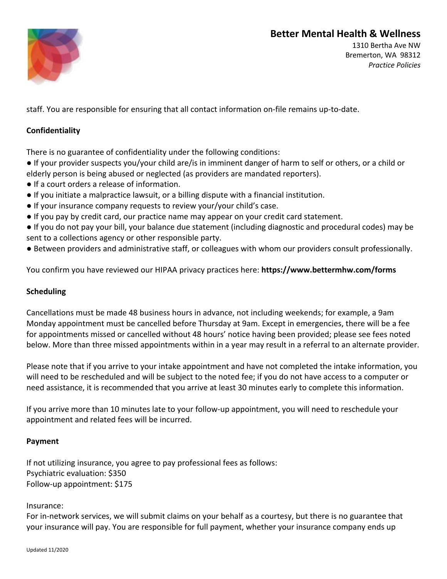

1310 Bertha Ave NW Bremerton, WA 98312 *Practice Policies*

staff. You are responsible for ensuring that all contact information on-file remains up-to-date.

### **Confidentiality**

There is no guarantee of confidentiality under the following conditions:

- If your provider suspects you/your child are/is in imminent danger of harm to self or others, or a child or elderly person is being abused or neglected (as providers are mandated reporters).
- If a court orders a release of information.
- If you initiate a malpractice lawsuit, or a billing dispute with a financial institution.
- If your insurance company requests to review your/your child's case.
- If you pay by credit card, our practice name may appear on your credit card statement.
- If you do not pay your bill, your balance due statement (including diagnostic and procedural codes) may be sent to a collections agency or other responsible party.
- Between providers and administrative staff, or colleagues with whom our providers consult professionally.

You confirm you have reviewed our HIPAA privacy practices here: **https://www.bettermhw.com/forms**

#### **Scheduling**

Cancellations must be made 48 business hours in advance, not including weekends; for example, a 9am Monday appointment must be cancelled before Thursday at 9am. Except in emergencies, there will be a fee for appointments missed or cancelled without 48 hours' notice having been provided; please see fees noted below. More than three missed appointments within in a year may result in a referral to an alternate provider.

Please note that if you arrive to your intake appointment and have not completed the intake information, you will need to be rescheduled and will be subject to the noted fee; if you do not have access to a computer or need assistance, it is recommended that you arrive at least 30 minutes early to complete this information.

If you arrive more than 10 minutes late to your follow-up appointment, you will need to reschedule your appointment and related fees will be incurred.

#### **Payment**

If not utilizing insurance, you agree to pay professional fees as follows: Psychiatric evaluation: \$350 Follow-up appointment: \$175

Insurance:

For in-network services, we will submit claims on your behalf as a courtesy, but there is no guarantee that your insurance will pay. You are responsible for full payment, whether your insurance company ends up